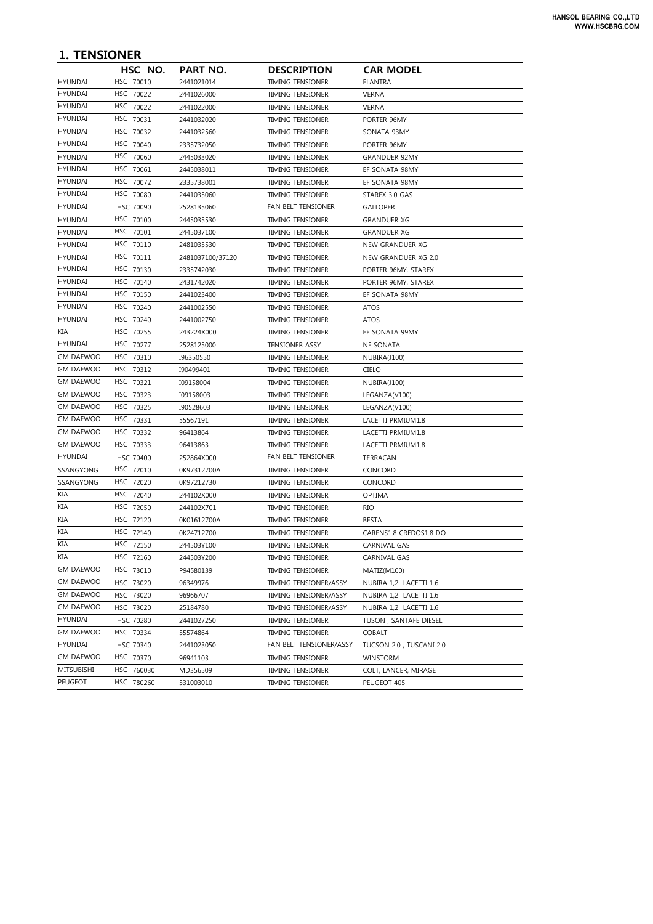## 1. TENSIONER

|                  | HSC NO.    | <b>PART NO.</b>  | <b>DESCRIPTION</b>      | <b>CAR MODEL</b>        |
|------------------|------------|------------------|-------------------------|-------------------------|
| HYUNDAI          | HSC 70010  | 2441021014       | TIMING TENSIONER        | <b>ELANTRA</b>          |
| HYUNDAI          | HSC 70022  | 2441026000       | <b>TIMING TENSIONER</b> | <b>VERNA</b>            |
| <b>HYUNDAI</b>   | HSC 70022  | 2441022000       | <b>TIMING TENSIONER</b> | <b>VERNA</b>            |
| <b>HYUNDAI</b>   | HSC 70031  | 2441032020       | <b>TIMING TENSIONER</b> | PORTER 96MY             |
| <b>HYUNDAI</b>   | HSC 70032  | 2441032560       | TIMING TENSIONER        | SONATA 93MY             |
| <b>HYUNDAI</b>   | HSC 70040  | 2335732050       | <b>TIMING TENSIONER</b> | PORTER 96MY             |
| <b>HYUNDAI</b>   | HSC 70060  | 2445033020       | TIMING TENSIONER        | <b>GRANDUER 92MY</b>    |
| HYUNDAI          | HSC 70061  | 2445038011       | TIMING TENSIONER        | EF SONATA 98MY          |
| HYUNDAI          | HSC 70072  | 2335738001       | TIMING TENSIONER        | EF SONATA 98MY          |
| <b>HYUNDAI</b>   | HSC 70080  | 2441035060       | TIMING TENSIONER        | STAREX 3.0 GAS          |
| <b>HYUNDAI</b>   | HSC 70090  | 2528135060       | FAN BELT TENSIONER      | <b>GALLOPER</b>         |
| <b>HYUNDAI</b>   | HSC 70100  | 2445035530       | TIMING TENSIONER        | <b>GRANDUER XG</b>      |
| <b>HYUNDAI</b>   | HSC 70101  | 2445037100       | <b>TIMING TENSIONER</b> | <b>GRANDUER XG</b>      |
| <b>HYUNDAI</b>   | HSC 70110  | 2481035530       | TIMING TENSIONER        | NEW GRANDUER XG         |
| <b>HYUNDAI</b>   | HSC 70111  | 2481037100/37120 | TIMING TENSIONER        | NEW GRANDUER XG 2.0     |
| <b>HYUNDAI</b>   | HSC 70130  | 2335742030       | TIMING TENSIONER        | PORTER 96MY, STAREX     |
| <b>HYUNDAI</b>   | HSC 70140  | 2431742020       | TIMING TENSIONER        | PORTER 96MY, STAREX     |
| <b>HYUNDAI</b>   | HSC 70150  | 2441023400       | TIMING TENSIONER        | EF SONATA 98MY          |
| HYUNDAI          | HSC 70240  | 2441002550       | TIMING TENSIONER        | ATOS                    |
| HYUNDAI          | HSC 70240  | 2441002750       | TIMING TENSIONER        | <b>ATOS</b>             |
| КIА              | HSC 70255  | 243224X000       | <b>TIMING TENSIONER</b> | EF SONATA 99MY          |
| HYUNDAI          | HSC 70277  | 2528125000       | <b>TENSIONER ASSY</b>   | NF SONATA               |
| <b>GM DAEWOO</b> | HSC 70310  | 196350550        | <b>TIMING TENSIONER</b> | NUBIRA(J100)            |
| <b>GM DAEWOO</b> | HSC 70312  | I90499401        | TIMING TENSIONER        | <b>CIELO</b>            |
| <b>GM DAEWOO</b> | HSC 70321  | I09158004        | <b>TIMING TENSIONER</b> | NUBIRA(J100)            |
| <b>GM DAEWOO</b> | HSC 70323  | I09158003        | TIMING TENSIONER        | LEGANZA(V100)           |
| <b>GM DAEWOO</b> | HSC 70325  | 190528603        | TIMING TENSIONER        | LEGANZA(V100)           |
| <b>GM DAEWOO</b> | HSC 70331  | 55567191         | TIMING TENSIONER        | LACETTI PRMIUM1.8       |
| <b>GM DAEWOO</b> | HSC 70332  | 96413864         | TIMING TENSIONER        | LACETTI PRMIUM1.8       |
| <b>GM DAEWOO</b> | HSC 70333  | 96413863         | TIMING TENSIONER        | LACETTI PRMIUM1.8       |
| <b>HYUNDAI</b>   | HSC 70400  | 252864X000       | FAN BELT TENSIONER      | TERRACAN                |
| SSANGYONG        | HSC 72010  | 0K97312700A      | <b>TIMING TENSIONER</b> | CONCORD                 |
| SSANGYONG        | HSC 72020  | 0K97212730       | TIMING TENSIONER        | CONCORD                 |
| КIА              | HSC 72040  | 244102X000       | TIMING TENSIONER        | OPTIMA                  |
| КIА              | HSC 72050  | 244102X701       | <b>TIMING TENSIONER</b> | RIO                     |
| КIА              | HSC 72120  | 0K01612700A      | TIMING TENSIONER        | BESTA                   |
| КIА              | HSC 72140  | 0K24712700       | <b>TIMING TENSIONER</b> | CARENS1.8 CREDOS1.8 DO  |
| КIА              | HSC 72150  | 244503Y100       | <b>TIMING TENSIONER</b> | <b>CARNIVAL GAS</b>     |
| KIA              | HSC 72160  | 244503Y200       | TIMING TENSIONER        | CARNIVAL GAS            |
| <b>GM DAEWOO</b> | HSC 73010  | P94580139        | TIMING TENSIONER        | MATIZ(M100)             |
| <b>GM DAEWOO</b> | HSC 73020  | 96349976         | TIMING TENSIONER/ASSY   | NUBIRA 1,2 LACETTI 1.6  |
| <b>GM DAEWOO</b> | HSC 73020  | 96966707         | TIMING TENSIONER/ASSY   | NUBIRA 1,2 LACETTI 1.6  |
| <b>GM DAEWOO</b> | HSC 73020  | 25184780         | TIMING TENSIONER/ASSY   | NUBIRA 1,2 LACETTI 1.6  |
| HYUNDAI          | HSC 70280  | 2441027250       | TIMING TENSIONER        | TUSON, SANTAFE DIESEL   |
| <b>GM DAEWOO</b> | HSC 70334  | 55574864         | TIMING TENSIONER        | COBALT                  |
| HYUNDAI          | HSC 70340  | 2441023050       | FAN BELT TENSIONER/ASSY | TUCSON 2.0, TUSCANI 2.0 |
| <b>GM DAEWOO</b> | HSC 70370  | 96941103         | TIMING TENSIONER        | WINSTORM                |
| MITSUBISHI       | HSC 760030 | MD356509         | TIMING TENSIONER        | COLT, LANCER, MIRAGE    |
| PEUGEOT          | HSC 780260 | 531003010        | <b>TIMING TENSIONER</b> | PEUGEOT 405             |
|                  |            |                  |                         |                         |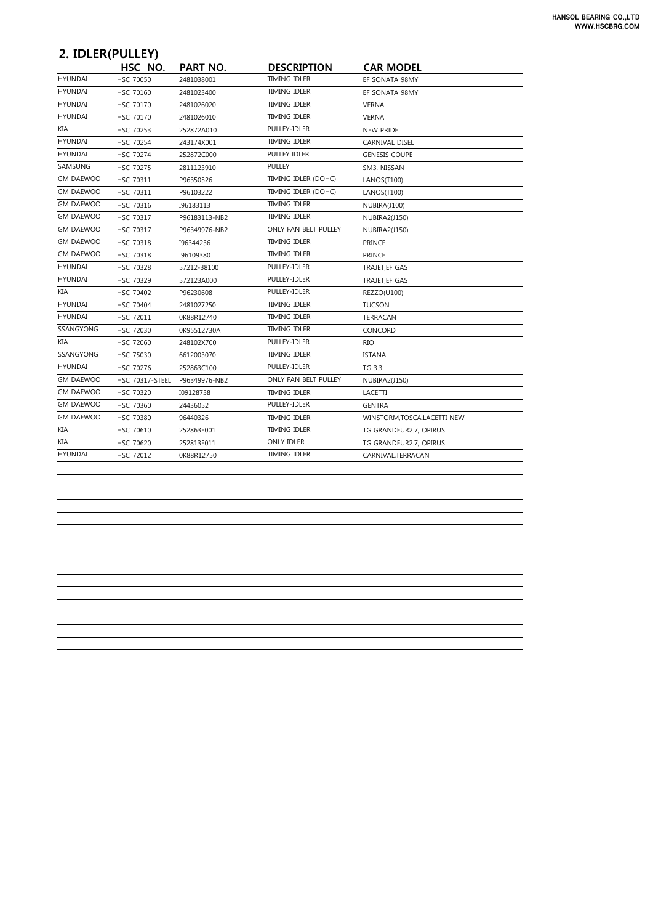#### 2. IDLER(PULLEY)

|                  | HSC NO.          | PART NO.      | <b>DESCRIPTION</b>   | <b>CAR MODEL</b>             |
|------------------|------------------|---------------|----------------------|------------------------------|
| HYUNDAI          | HSC 70050        | 2481038001    | <b>TIMING IDLER</b>  | EF SONATA 98MY               |
| HYUNDAI          | HSC 70160        | 2481023400    | <b>TIMING IDLER</b>  | EF SONATA 98MY               |
| HYUNDAI          | HSC 70170        | 2481026020    | TIMING IDLER         | <b>VERNA</b>                 |
| HYUNDAI          | HSC 70170        | 2481026010    | TIMING IDLER         | <b>VERNA</b>                 |
| КIА              | HSC 70253        | 252872A010    | PULLEY-IDLER         | NEW PRIDE                    |
| HYUNDAI          | HSC 70254        | 243174X001    | TIMING IDLER         | CARNIVAL DISEL               |
| HYUNDAI          | HSC 70274        | 252872C000    | PULLEY IDLER         | <b>GENESIS COUPE</b>         |
| SAMSUNG          | HSC 70275        | 2811123910    | PULLEY               | SM3, NISSAN                  |
| <b>GM DAEWOO</b> | HSC 70311        | P96350526     | TIMING IDLER (DOHC)  | LANOS(T100)                  |
| <b>GM DAEWOO</b> | HSC 70311        | P96103222     | TIMING IDLER (DOHC)  | LANOS(T100)                  |
| <b>GM DAEWOO</b> | HSC 70316        | 196183113     | TIMING IDLER         | NUBIRA(J100)                 |
| <b>GM DAEWOO</b> | HSC 70317        | P96183113-NB2 | TIMING IDLER         | NUBIRA2(J150)                |
| <b>GM DAEWOO</b> | HSC 70317        | P96349976-NB2 | ONLY FAN BELT PULLEY | NUBIRA2(J150)                |
| <b>GM DAEWOO</b> | HSC 70318        | 196344236     | <b>TIMING IDLER</b>  | PRINCE                       |
| <b>GM DAEWOO</b> | HSC 70318        | 196109380     | TIMING IDLER         | PRINCE                       |
| HYUNDAI          | HSC 70328        | 57212-38100   | PULLEY-IDLER         | TRAJET,EF GAS                |
| HYUNDAI          | HSC 70329        | 572123A000    | PULLEY-IDLER         | TRAJET,EF GAS                |
| КIА              | HSC 70402        | P96230608     | PULLEY-IDLER         | REZZO(U100)                  |
| HYUNDAI          | HSC 70404        | 2481027250    | TIMING IDLER         | TUCSON                       |
| HYUNDAI          | HSC 72011        | 0K88R12740    | <b>TIMING IDLER</b>  | TERRACAN                     |
| SSANGYONG        | HSC 72030        | 0K95512730A   | TIMING IDLER         | CONCORD                      |
| КIА              | <b>HSC 72060</b> | 248102X700    | PULLEY-IDLER         | RIO                          |
| SSANGYONG        | HSC 75030        | 6612003070    | TIMING IDLER         | <b>ISTANA</b>                |
| HYUNDAI          | <b>HSC 70276</b> | 252863C100    | PULLEY-IDLER         | TG 3.3                       |
| <b>GM DAEWOO</b> | HSC 70317-STEEL  | P96349976-NB2 | ONLY FAN BELT PULLEY | NUBIRA2(J150)                |
| <b>GM DAEWOO</b> | HSC 70320        | 109128738     | TIMING IDLER         | LACETTI                      |
| <b>GM DAEWOO</b> | HSC 70360        | 24436052      | PULLEY-IDLER         | GENTRA                       |
| <b>GM DAEWOO</b> | HSC 70380        | 96440326      | TIMING IDLER         | WINSTORM, TOSCA, LACETTI NEW |
| КIА              | HSC 70610        | 252863E001    | TIMING IDLER         | TG GRANDEUR2.7, OPIRUS       |
| КIА              | HSC 70620        | 252813E011    | ONLY IDLER           | TG GRANDEUR2.7, OPIRUS       |
| HYUNDAI          | HSC 72012        | 0K88R12750    | TIMING IDLER         | CARNIVAL, TERRACAN           |
|                  |                  |               |                      |                              |
|                  |                  |               |                      |                              |
|                  |                  |               |                      |                              |
|                  |                  |               |                      |                              |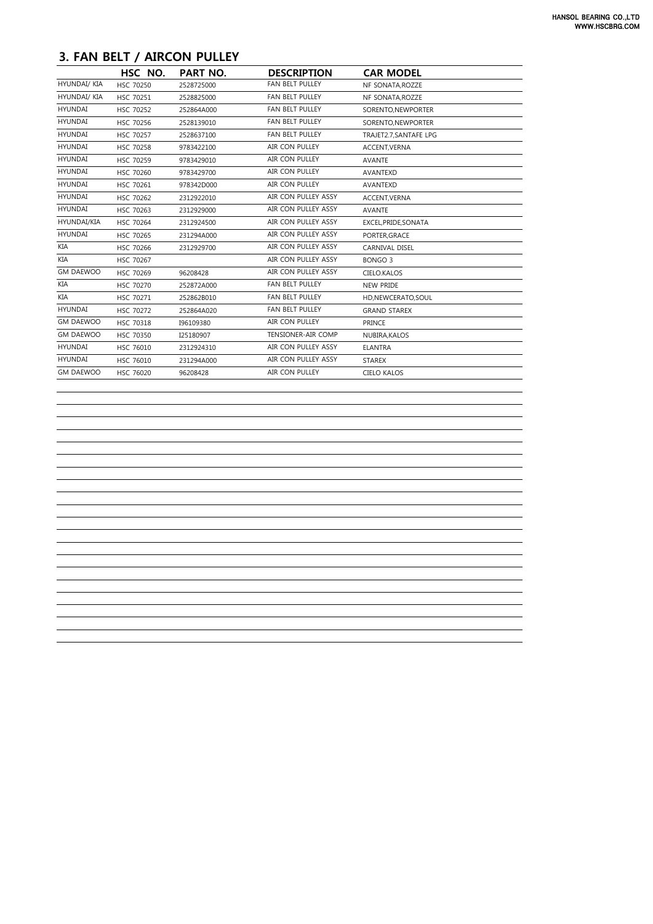# 3. FAN BELT / AIRCON PULLEY

|                  | HSC NO.          | PART NO.   | <b>DESCRIPTION</b>  | <b>CAR MODEL</b>       |
|------------------|------------------|------------|---------------------|------------------------|
| HYUNDAI/ KIA     | HSC 70250        | 2528725000 | FAN BELT PULLEY     | NF SONATA, ROZZE       |
| HYUNDAI/ KIA     | HSC 70251        | 2528825000 | FAN BELT PULLEY     | NF SONATA, ROZZE       |
| HYUNDAI          | HSC 70252        | 252864A000 | FAN BELT PULLEY     | SORENTO, NEWPORTER     |
| <b>HYUNDAI</b>   | HSC 70256        | 2528139010 | FAN BELT PULLEY     | SORENTO, NEWPORTER     |
| <b>HYUNDAI</b>   | HSC 70257        | 2528637100 | FAN BELT PULLEY     | TRAJET2.7, SANTAFE LPG |
| HYUNDAI          | HSC 70258        | 9783422100 | AIR CON PULLEY      | ACCENT, VERNA          |
| HYUNDAI          | <b>HSC 70259</b> | 9783429010 | AIR CON PULLEY      | <b>AVANTE</b>          |
| <b>HYUNDAI</b>   | <b>HSC 70260</b> | 9783429700 | AIR CON PULLEY      | <b>AVANTEXD</b>        |
| HYUNDAI          | HSC 70261        | 978342D000 | AIR CON PULLEY      | <b>AVANTEXD</b>        |
| <b>HYUNDAI</b>   | <b>HSC 70262</b> | 2312922010 | AIR CON PULLEY ASSY | ACCENT, VERNA          |
| <b>HYUNDAI</b>   | HSC 70263        | 2312929000 | AIR CON PULLEY ASSY | <b>AVANTE</b>          |
| HYUNDAI/KIA      | <b>HSC 70264</b> | 2312924500 | AIR CON PULLEY ASSY | EXCEL, PRIDE, SONATA   |
| <b>HYUNDAI</b>   | <b>HSC 70265</b> | 231294A000 | AIR CON PULLEY ASSY | PORTER, GRACE          |
| KIA              | HSC 70266        | 2312929700 | AIR CON PULLEY ASSY | CARNIVAL DISEL         |
| KIA              | <b>HSC 70267</b> |            | AIR CON PULLEY ASSY | <b>BONGO 3</b>         |
| <b>GM DAEWOO</b> | HSC 70269        | 96208428   | AIR CON PULLEY ASSY | CIELO.KALOS            |
| KIA              | <b>HSC 70270</b> | 252872A000 | FAN BELT PULLEY     | NEW PRIDE              |
| KIA              | HSC 70271        | 252862B010 | FAN BELT PULLEY     | HD, NEWCERATO, SOUL    |
| HYUNDAI          | HSC 70272        | 252864A020 | FAN BELT PULLEY     | <b>GRAND STAREX</b>    |
| <b>GM DAEWOO</b> | <b>HSC 70318</b> | 196109380  | AIR CON PULLEY      | <b>PRINCE</b>          |
| <b>GM DAEWOO</b> | <b>HSC 70350</b> | I25180907  | TENSIONER-AIR COMP  | NUBIRA, KALOS          |
| <b>HYUNDAI</b>   | HSC 76010        | 2312924310 | AIR CON PULLEY ASSY | <b>ELANTRA</b>         |
| <b>HYUNDAI</b>   | HSC 76010        | 231294A000 | AIR CON PULLEY ASSY | <b>STAREX</b>          |
| <b>GM DAEWOO</b> | HSC 76020        | 96208428   | AIR CON PULLEY      | <b>CIELO KALOS</b>     |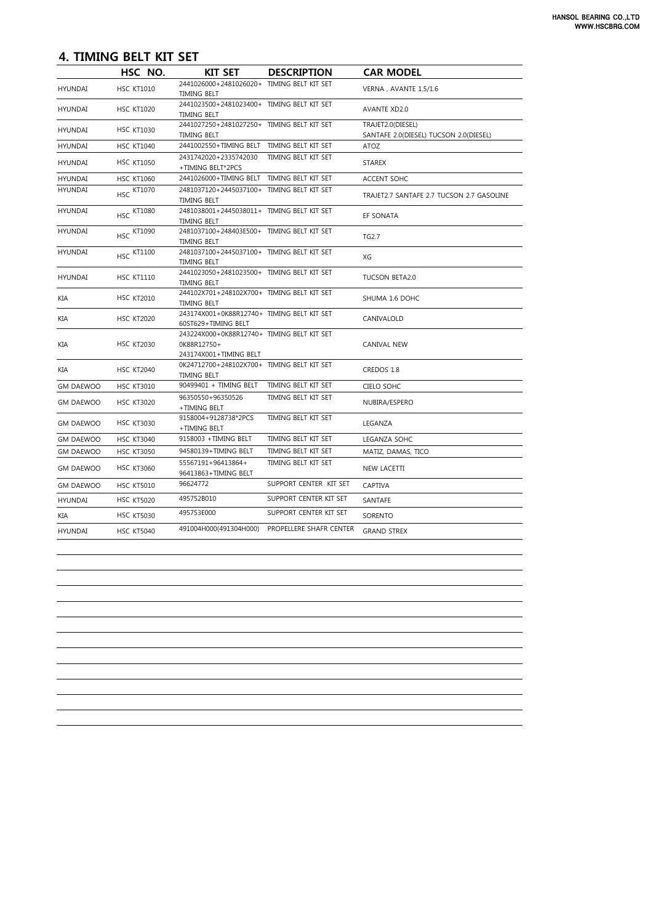# 4. TIMING BELT KIT SET

|                  | HSC NO.           | <b>KIT SET</b>                                                                      | <b>DESCRIPTION</b>      | <b>CAR MODEL</b>                                            |
|------------------|-------------------|-------------------------------------------------------------------------------------|-------------------------|-------------------------------------------------------------|
| <b>HYUNDAI</b>   | <b>HSC KT1010</b> | 2441026000+2481026020+ TIMING BELT KIT SET<br><b>TIMING BELT</b>                    |                         | VERNA, AVANTE 1.5/1.6                                       |
| <b>HYUNDAI</b>   | <b>HSC KT1020</b> | 2441023500+2481023400+ TIMING BELT KIT SET<br>TIMING BELT                           |                         | AVANTE XD2.0                                                |
| <b>HYUNDAI</b>   | <b>HSC KT1030</b> | 2441027250+2481027250+ TIMING BELT KIT SET<br>TIMING BELT                           |                         | TRAJET2.0(DIESEL)<br>SANTAFE 2.0(DIESEL) TUCSON 2.0(DIESEL) |
| <b>HYUNDAI</b>   | <b>HSC KT1040</b> | 2441002550+TIMING BELT TIMING BELT KIT SET                                          |                         | <b>ATOZ</b>                                                 |
| <b>HYUNDAI</b>   | <b>HSC KT1050</b> | 2431742020+2335742030<br>+TIMING BELT*2PCS                                          | TIMING BELT KIT SET     | STAREX                                                      |
| <b>HYUNDAI</b>   | <b>HSC KT1060</b> | 2441026000+TIMING BELT TIMING BELT KIT SET                                          |                         | ACCENT SOHC                                                 |
| <b>HYUNDAI</b>   | <b>HSC KT1070</b> | 2481037120+2445037100+ TIMING BELT KIT SET<br>TIMING BELT                           |                         | TRAJET2.7 SANTAFE 2.7 TUCSON 2.7 GASOLINE                   |
| HYUNDAI          | <b>HSC KT1080</b> | 2481038001+2445038011+ TIMING BELT KIT SET<br>TIMING BELT                           |                         | EF SONATA                                                   |
| HYUNDAI          | <b>HSC KT1090</b> | 2481037100+248403E500+ TIMING BELT KIT SET<br>TIMING BELT                           |                         | <b>TG2.7</b>                                                |
| <b>HYUNDAI</b>   | <b>HSC KT1100</b> | 2481037100+2445037100+ TIMING BELT KIT SET<br>TIMING BELT                           |                         | XG                                                          |
| HYUNDAI          | <b>HSC KT1110</b> | 2441023050+2481023500+ TIMING BELT KIT SET<br>TIMING BELT                           |                         | <b>TUCSON BETA2.0</b>                                       |
| КIА              | <b>HSC KT2010</b> | 244102X701+248102X700+ TIMING BELT KIT SET<br>TIMING BELT                           |                         | SHUMA 1.6 DOHC                                              |
| КIА              | <b>HSC KT2020</b> | 243174X001+0K88R12740+ TIMING BELT KIT SET<br>60ST629+TIMING BELT                   |                         | CANIVALOLD                                                  |
| КIА              | <b>HSC KT2030</b> | 243224X000+0K88R12740+ TIMING BELT KIT SET<br>0K88R12750+<br>243174X001+TIMING BELT |                         | CANIVAL NEW                                                 |
| КIА              | <b>HSC KT2040</b> | 0K24712700+248102X700+ TIMING BELT KIT SET<br>TIMING BELT                           |                         | CREDOS 1.8                                                  |
| <b>GM DAEWOO</b> | <b>HSC KT3010</b> | 90499401 + TIMING BELT                                                              | TIMING BELT KIT SET     | CIELO SOHC                                                  |
| <b>GM DAEWOO</b> | <b>HSC KT3020</b> | 96350550+96350526<br>+TIMING BELT                                                   | TIMING BELT KIT SET     | NUBIRA/ESPERO                                               |
| <b>GM DAEWOO</b> | <b>HSC KT3030</b> | 9158004+9128738*2PCS<br>+TIMING BELT                                                | TIMING BELT KIT SET     | LEGANZA                                                     |
| <b>GM DAEWOO</b> | <b>HSC KT3040</b> | 9158003 + TIMING BELT                                                               | TIMING BELT KIT SET     | LEGANZA SOHC                                                |
| <b>GM DAEWOO</b> | <b>HSC KT3050</b> | 94580139+TIMING BELT                                                                | TIMING BELT KIT SET     | MATIZ, DAMAS, TICO                                          |
| <b>GM DAEWOO</b> | <b>HSC KT3060</b> | 55567191+96413864+<br>96413863+TIMING BELT                                          | TIMING BELT KIT SET     | NEW LACETTI                                                 |
| <b>GM DAEWOO</b> | <b>HSC KT5010</b> | 96624772                                                                            | SUPPORT CENTER KIT SET  | CAPTIVA                                                     |
| <b>HYUNDAI</b>   | <b>HSC KT5020</b> | 495752B010                                                                          | SUPPORT CENTER KIT SET  | SANTAFE                                                     |
| KIA              | <b>HSC KT5030</b> | 495753E000                                                                          | SUPPORT CENTER KIT SET  | SORENTO                                                     |
| <b>HYUNDAI</b>   | <b>HSC KT5040</b> | 491004H000(491304H000)                                                              | PROPELLERE SHAFR CENTER | <b>GRAND STREX</b>                                          |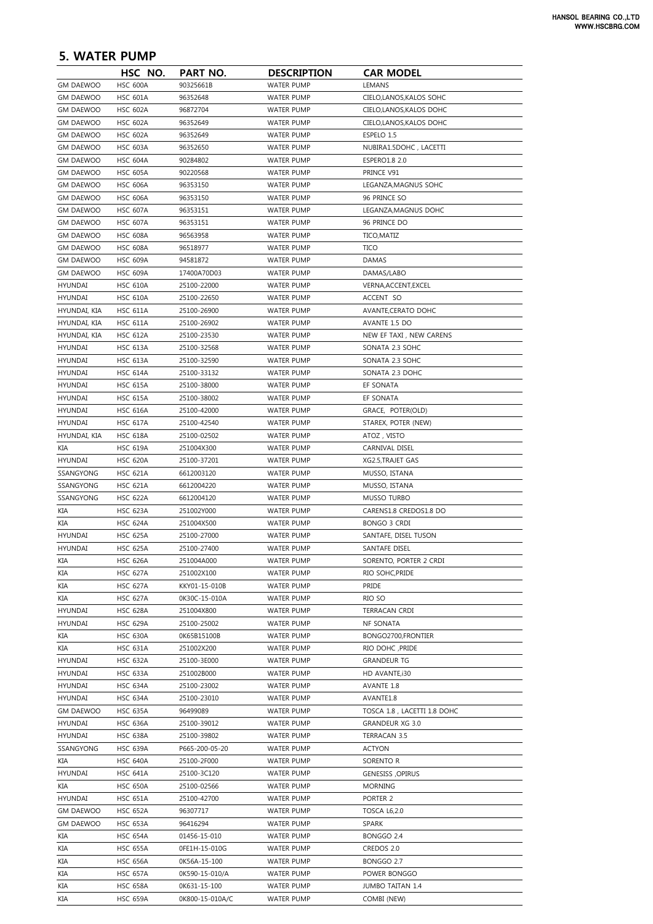### 5. WATER PUMP

|                                      | HSC NO.         | <b>PART NO.</b> | <b>DESCRIPTION</b> | <b>CAR MODEL</b>            |  |
|--------------------------------------|-----------------|-----------------|--------------------|-----------------------------|--|
| <b>GM DAEWOO</b>                     | <b>HSC 600A</b> | 90325661B       | <b>WATER PUMP</b>  | LEMANS                      |  |
| <b>GM DAEWOO</b>                     | <b>HSC 601A</b> | 96352648        | WATER PUMP         | CIELO,LANOS,KALOS SOHC      |  |
| <b>GM DAEWOO</b>                     | <b>HSC 602A</b> | 96872704        | WATER PUMP         | CIELO,LANOS,KALOS DOHC      |  |
| <b>GM DAEWOO</b>                     | <b>HSC 602A</b> | 96352649        | WATER PUMP         | CIELO,LANOS,KALOS DOHC      |  |
| <b>GM DAEWOO</b>                     | <b>HSC 602A</b> | 96352649        | WATER PUMP         | ESPELO 1.5                  |  |
| <b>GM DAEWOO</b>                     | <b>HSC 603A</b> | 96352650        | <b>WATER PUMP</b>  | NUBIRA1.5DOHC, LACETTI      |  |
| <b>GM DAEWOO</b>                     | <b>HSC 604A</b> | 90284802        | WATER PUMP         | ESPERO1.8 2.0               |  |
| <b>GM DAEWOO</b>                     | <b>HSC 605A</b> | 90220568        | WATER PUMP         | PRINCE V91                  |  |
|                                      | <b>HSC 606A</b> | 96353150        |                    | LEGANZA, MAGNUS SOHC        |  |
| <b>GM DAEWOO</b>                     |                 |                 | WATER PUMP         |                             |  |
| <b>GM DAEWOO</b>                     | <b>HSC 606A</b> | 96353150        | <b>WATER PUMP</b>  | 96 PRINCE SO                |  |
| <b>GM DAEWOO</b>                     | <b>HSC 607A</b> | 96353151        | <b>WATER PUMP</b>  | LEGANZA, MAGNUS DOHC        |  |
| <b>GM DAEWOO</b>                     | <b>HSC 607A</b> | 96353151        | WATER PUMP         | 96 PRINCE DO                |  |
| <b>GM DAEWOO</b>                     | <b>HSC 608A</b> | 96563958        | <b>WATER PUMP</b>  | TICO, MATIZ                 |  |
| <b>GM DAEWOO</b>                     | <b>HSC 608A</b> | 96518977        | WATER PUMP         | TICO                        |  |
| <b>GM DAEWOO</b>                     | <b>HSC 609A</b> | 94581872        | WATER PUMP         | DAMAS                       |  |
| <b>GM DAEWOO</b>                     | <b>HSC 609A</b> | 17400A70D03     | <b>WATER PUMP</b>  | DAMAS/LABO                  |  |
| HYUNDAI                              | <b>HSC 610A</b> | 25100-22000     | WATER PUMP         | VERNA, ACCENT, EXCEL        |  |
| HYUNDAI                              | <b>HSC 610A</b> | 25100-22650     | <b>WATER PUMP</b>  | ACCENT SO                   |  |
| HYUNDAI, KIA                         | <b>HSC 611A</b> | 25100-26900     | <b>WATER PUMP</b>  | AVANTE, CERATO DOHC         |  |
| HYUNDAI, KIA                         | <b>HSC 611A</b> | 25100-26902     | <b>WATER PUMP</b>  | AVANTE 1.5 DO               |  |
| HYUNDAI, KIA                         | <b>HSC 612A</b> | 25100-23530     | <b>WATER PUMP</b>  | NEW EF TAXI, NEW CARENS     |  |
| HYUNDAI                              | <b>HSC 613A</b> | 25100-32568     | WATER PUMP         | SONATA 2.3 SOHC             |  |
| HYUNDAI                              | <b>HSC 613A</b> | 25100-32590     | <b>WATER PUMP</b>  | SONATA 2.3 SOHC             |  |
| HYUNDAI                              | <b>HSC 614A</b> | 25100-33132     | WATER PUMP         | SONATA 2.3 DOHC             |  |
| HYUNDAI                              | <b>HSC 615A</b> | 25100-38000     | WATER PUMP         | EF SONATA                   |  |
| HYUNDAI                              | <b>HSC 615A</b> | 25100-38002     | <b>WATER PUMP</b>  | EF SONATA                   |  |
| HYUNDAI                              | <b>HSC 616A</b> | 25100-42000     | <b>WATER PUMP</b>  | GRACE, POTER(OLD)           |  |
| HYUNDAI                              | <b>HSC 617A</b> | 25100-42540     | <b>WATER PUMP</b>  | STAREX, POTER (NEW)         |  |
| HYUNDAI, KIA                         | <b>HSC 618A</b> | 25100-02502     | <b>WATER PUMP</b>  | ATOZ, VISTO                 |  |
| КIА                                  | <b>HSC 619A</b> | 251004X300      | <b>WATER PUMP</b>  | CARNIVAL DISEL              |  |
| HYUNDAI                              | <b>HSC 620A</b> | 25100-37201     | <b>WATER PUMP</b>  | XG2.5, TRAJET GAS           |  |
|                                      |                 |                 |                    |                             |  |
| SSANGYONG                            | <b>HSC 621A</b> | 6612003120      | WATER PUMP         | MUSSO, ISTANA               |  |
| SSANGYONG                            | <b>HSC 621A</b> | 6612004220      | <b>WATER PUMP</b>  | MUSSO, ISTANA               |  |
| SSANGYONG                            | <b>HSC 622A</b> | 6612004120      | WATER PUMP         | MUSSO TURBO                 |  |
| КIА                                  | <b>HSC 623A</b> | 251002Y000      | WATER PUMP         | CARENS1.8 CREDOS1.8 DO      |  |
| КIА                                  | <b>HSC 624A</b> | 251004X500      | <b>WATER PUMP</b>  | BONGO 3 CRDI                |  |
| HYUNDAI                              | <b>HSC 625A</b> | 25100-27000     | WATER PUMP         | SANTAFE, DISEL TUSON        |  |
| HYUNDAI                              | <b>HSC 625A</b> | 25100-27400     | <b>WATER PUMP</b>  | SANTAFE DISEL               |  |
| КIА                                  | <b>HSC 626A</b> | 251004A000      | WATER PUMP         | SORENTO, PORTER 2 CRDI      |  |
| КIА                                  | <b>HSC 627A</b> | 251002X100      | WATER PUMP         | RIO SOHC, PRIDE             |  |
| КIА                                  | <b>HSC 627A</b> | KKY01-15-010B   | <b>WATER PUMP</b>  | PRIDE                       |  |
| КIА                                  | <b>HSC 627A</b> | 0K30C-15-010A   | WATER PUMP         | RIO SO                      |  |
| HYUNDAI                              | <b>HSC 628A</b> | 251004X800      | <b>WATER PUMP</b>  | TERRACAN CRDI               |  |
| HYUNDAI                              | <b>HSC 629A</b> | 25100-25002     | WATER PUMP         | NF SONATA                   |  |
| КIА                                  | <b>HSC 630A</b> | 0K65B15100B     | <b>WATER PUMP</b>  | BONGO2700, FRONTIER         |  |
| КIА                                  | <b>HSC 631A</b> | 251002X200      | WATER PUMP         | RIO DOHC , PRIDE            |  |
| HYUNDAI                              | <b>HSC 632A</b> | 25100-3E000     | WATER PUMP         | <b>GRANDEUR TG</b>          |  |
| HYUNDAI                              | <b>HSC 633A</b> | 251002B000      | <b>WATER PUMP</b>  | HD AVANTE, i30              |  |
| HYUNDAI                              | <b>HSC 634A</b> | 25100-23002     | WATER PUMP         | AVANTE 1.8                  |  |
| HYUNDAI                              | <b>HSC 634A</b> | 25100-23010     | WATER PUMP         | AVANTE1.8                   |  |
| <b>GM DAEWOO</b>                     | <b>HSC 635A</b> | 96499089        | <b>WATER PUMP</b>  | TOSCA 1.8, LACETTI 1.8 DOHC |  |
| HYUNDAI                              | <b>HSC 636A</b> | 25100-39012     | WATER PUMP         | GRANDEUR XG 3.0             |  |
| HYUNDAI                              | <b>HSC 638A</b> | 25100-39802     | <b>WATER PUMP</b>  | TERRACAN 3.5                |  |
| SSANGYONG                            | <b>HSC 639A</b> | P665-200-05-20  | WATER PUMP         | ACTYON                      |  |
| КIА                                  | <b>HSC 640A</b> | 25100-2F000     | WATER PUMP         | SORENTO R                   |  |
| HYUNDAI                              | <b>HSC 641A</b> | 25100-3C120     | WATER PUMP         | <b>GENESISS , OPIRUS</b>    |  |
| КIА                                  | <b>HSC 650A</b> | 25100-02566     | WATER PUMP         | <b>MORNING</b>              |  |
| HYUNDAI                              | <b>HSC 651A</b> | 25100-42700     | WATER PUMP         | PORTER 2                    |  |
|                                      |                 |                 |                    |                             |  |
| <b>GM DAEWOO</b><br><b>GM DAEWOO</b> | <b>HSC 652A</b> | 96307717        | WATER PUMP         | TOSCA L6,2.0                |  |
|                                      | <b>HSC 653A</b> | 96416294        | WATER PUMP         | SPARK                       |  |
| КIА                                  | <b>HSC 654A</b> | 01456-15-010    | <b>WATER PUMP</b>  | BONGGO 2.4                  |  |
| КIА                                  | <b>HSC 655A</b> | 0FE1H-15-010G   | WATER PUMP         | CREDOS 2.0                  |  |
| КIА                                  | <b>HSC 656A</b> | 0K56A-15-100    | WATER PUMP         | BONGGO 2.7                  |  |
| КIА                                  | <b>HSC 657A</b> | 0K590-15-010/A  | WATER PUMP         | POWER BONGGO                |  |
| КIА                                  | <b>HSC 658A</b> | 0K631-15-100    | WATER PUMP         | JUMBO TAITAN 1.4            |  |
| КIА                                  | <b>HSC 659A</b> | 0K800-15-010A/C | <b>WATER PUMP</b>  | COMBI (NEW)                 |  |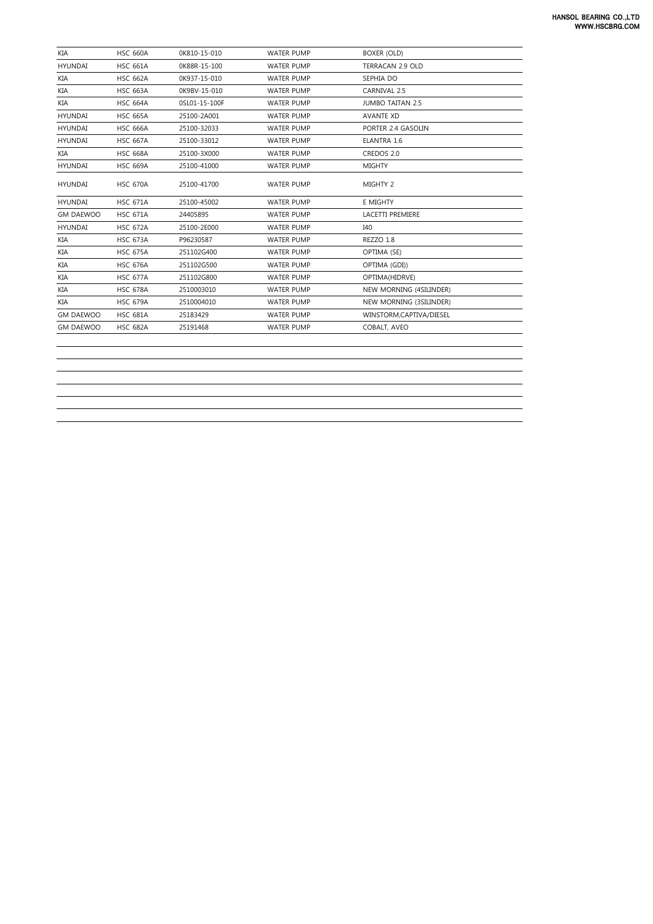| KIA              | <b>HSC 660A</b> | 0K810-15-010  | <b>WATER PUMP</b> | <b>BOXER (OLD)</b>      |
|------------------|-----------------|---------------|-------------------|-------------------------|
| <b>HYUNDAI</b>   | <b>HSC 661A</b> | 0K88R-15-100  | <b>WATER PUMP</b> | TERRACAN 2.9 OLD        |
| KIA              | <b>HSC 662A</b> | OK937-15-010  | <b>WATER PUMP</b> | SEPHIA DO               |
| KIA              | <b>HSC 663A</b> | 0K9BV-15-010  | <b>WATER PUMP</b> | CARNIVAL 2.5            |
| KIA              | <b>HSC 664A</b> | 0SL01-15-100F | <b>WATER PUMP</b> | <b>JUMBO TAITAN 2.5</b> |
| <b>HYUNDAI</b>   | <b>HSC 665A</b> | 25100-2A001   | <b>WATER PUMP</b> | <b>AVANTE XD</b>        |
| <b>HYUNDAI</b>   | <b>HSC 666A</b> | 25100-32033   | <b>WATER PUMP</b> | PORTER 2.4 GASOLIN      |
| <b>HYUNDAI</b>   | <b>HSC 667A</b> | 25100-33012   | <b>WATER PUMP</b> | ELANTRA 1.6             |
| KIA              | <b>HSC 668A</b> | 25100-3X000   | <b>WATER PUMP</b> | CREDOS 2.0              |
| <b>HYUNDAI</b>   | <b>HSC 669A</b> | 25100-41000   | <b>WATER PUMP</b> | <b>MIGHTY</b>           |
| <b>HYUNDAI</b>   | <b>HSC 670A</b> | 25100-41700   | <b>WATER PUMP</b> | MIGHTY 2                |
| <b>HYUNDAI</b>   | <b>HSC 671A</b> | 25100-45002   | <b>WATER PUMP</b> | E MIGHTY                |
| <b>GM DAEWOO</b> | <b>HSC 671A</b> | 24405895      | <b>WATER PUMP</b> | LACETTI PREMIERE        |
| <b>HYUNDAI</b>   | <b>HSC 672A</b> | 25100-2E000   | <b>WATER PUMP</b> | I40                     |
| KIA              | <b>HSC 673A</b> | P96230587     | <b>WATER PUMP</b> | REZZO 1.8               |
| KIA              | <b>HSC 675A</b> | 251102G400    | <b>WATER PUMP</b> | OPTIMA (SE)             |
| KIA              | <b>HSC 676A</b> | 251102G500    | <b>WATER PUMP</b> | OPTIMA (GDI))           |
| KIA              | <b>HSC 677A</b> | 251102G800    | <b>WATER PUMP</b> | OPTIMA(HIDRVE)          |
| KIA              | <b>HSC 678A</b> | 2510003010    | <b>WATER PUMP</b> | NEW MORNING (4SILINDER) |
| KIA              | <b>HSC 679A</b> | 2510004010    | <b>WATER PUMP</b> | NEW MORNING (3SILINDER) |
| <b>GM DAEWOO</b> | <b>HSC 681A</b> | 25183429      | <b>WATER PUMP</b> | WINSTORM,CAPTIVA/DIESEL |
| <b>GM DAEWOO</b> | <b>HSC 682A</b> | 25191468      | <b>WATER PUMP</b> | COBALT, AVEO            |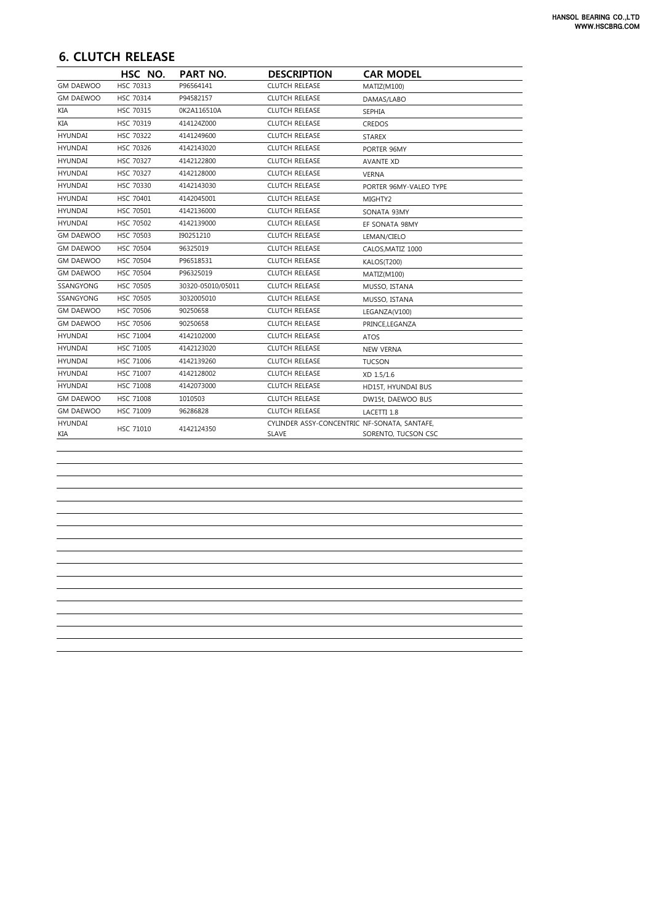# 6. CLUTCH RELEASE

|                  | HSC NO.          | PART NO.          | <b>DESCRIPTION</b>                                           | <b>CAR MODEL</b>       |
|------------------|------------------|-------------------|--------------------------------------------------------------|------------------------|
| <b>GM DAEWOO</b> | HSC 70313        | P96564141         | <b>CLUTCH RELEASE</b>                                        | MATIZ(M100)            |
| <b>GM DAEWOO</b> | HSC 70314        | P94582157         | <b>CLUTCH RELEASE</b>                                        | DAMAS/LABO             |
| KIA              | HSC 70315        | 0K2A116510A       | <b>CLUTCH RELEASE</b>                                        | <b>SEPHIA</b>          |
| КIА              | HSC 70319        | 414124Z000        | <b>CLUTCH RELEASE</b>                                        | <b>CREDOS</b>          |
| <b>HYUNDAI</b>   | <b>HSC 70322</b> | 4141249600        | <b>CLUTCH RELEASE</b>                                        | STAREX                 |
| <b>HYUNDAI</b>   | <b>HSC 70326</b> | 4142143020        | <b>CLUTCH RELEASE</b>                                        | PORTER 96MY            |
| HYUNDAI          | HSC 70327        | 4142122800        | <b>CLUTCH RELEASE</b>                                        | <b>AVANTE XD</b>       |
| HYUNDAI          | HSC 70327        | 4142128000        | <b>CLUTCH RELEASE</b>                                        | <b>VERNA</b>           |
| HYUNDAI          | HSC 70330        | 4142143030        | <b>CLUTCH RELEASE</b>                                        | PORTER 96MY-VALEO TYPE |
| HYUNDAI          | HSC 70401        | 4142045001        | <b>CLUTCH RELEASE</b>                                        | MIGHTY2                |
| HYUNDAI          | <b>HSC 70501</b> | 4142136000        | <b>CLUTCH RELEASE</b>                                        | SONATA 93MY            |
| HYUNDAI          | HSC 70502        | 4142139000        | <b>CLUTCH RELEASE</b>                                        | EF SONATA 98MY         |
| <b>GM DAEWOO</b> | HSC 70503        | 190251210         | <b>CLUTCH RELEASE</b>                                        | LEMAN/CIELO            |
| <b>GM DAEWOO</b> | <b>HSC 70504</b> | 96325019          | <b>CLUTCH RELEASE</b>                                        | CALOS, MATIZ 1000      |
| <b>GM DAEWOO</b> | <b>HSC 70504</b> | P96518531         | <b>CLUTCH RELEASE</b>                                        | KALOS(T200)            |
| <b>GM DAEWOO</b> | <b>HSC 70504</b> | P96325019         | <b>CLUTCH RELEASE</b>                                        | MATIZ(M100)            |
| SSANGYONG        | <b>HSC 70505</b> | 30320-05010/05011 | <b>CLUTCH RELEASE</b>                                        | MUSSO, ISTANA          |
| SSANGYONG        | <b>HSC 70505</b> | 3032005010        | <b>CLUTCH RELEASE</b>                                        | MUSSO, ISTANA          |
| <b>GM DAEWOO</b> | <b>HSC 70506</b> | 90250658          | <b>CLUTCH RELEASE</b>                                        | LEGANZA(V100)          |
| <b>GM DAEWOO</b> | HSC 70506        | 90250658          | <b>CLUTCH RELEASE</b>                                        | PRINCE, LEGANZA        |
| HYUNDAI          | HSC 71004        | 4142102000        | <b>CLUTCH RELEASE</b>                                        | ATOS                   |
| HYUNDAI          | HSC 71005        | 4142123020        | <b>CLUTCH RELEASE</b>                                        | NEW VERNA              |
| HYUNDAI          | HSC 71006        | 4142139260        | <b>CLUTCH RELEASE</b>                                        | <b>TUCSON</b>          |
| <b>HYUNDAI</b>   | <b>HSC 71007</b> | 4142128002        | <b>CLUTCH RELEASE</b>                                        | XD 1.5/1.6             |
| <b>HYUNDAI</b>   | HSC 71008        | 4142073000        | <b>CLUTCH RELEASE</b>                                        | HD15T, HYUNDAI BUS     |
| <b>GM DAEWOO</b> | HSC 71008        | 1010503           | <b>CLUTCH RELEASE</b>                                        | DW15t, DAEWOO BUS      |
| <b>GM DAEWOO</b> | HSC 71009        | 96286828          | <b>CLUTCH RELEASE</b>                                        | LACETTI 1.8            |
| HYUNDAI<br>КIА   | HSC 71010        | 4142124350        | CYLINDER ASSY-CONCENTRIC NF-SONATA, SANTAFE,<br><b>SLAVE</b> | SORENTO, TUCSON CSC    |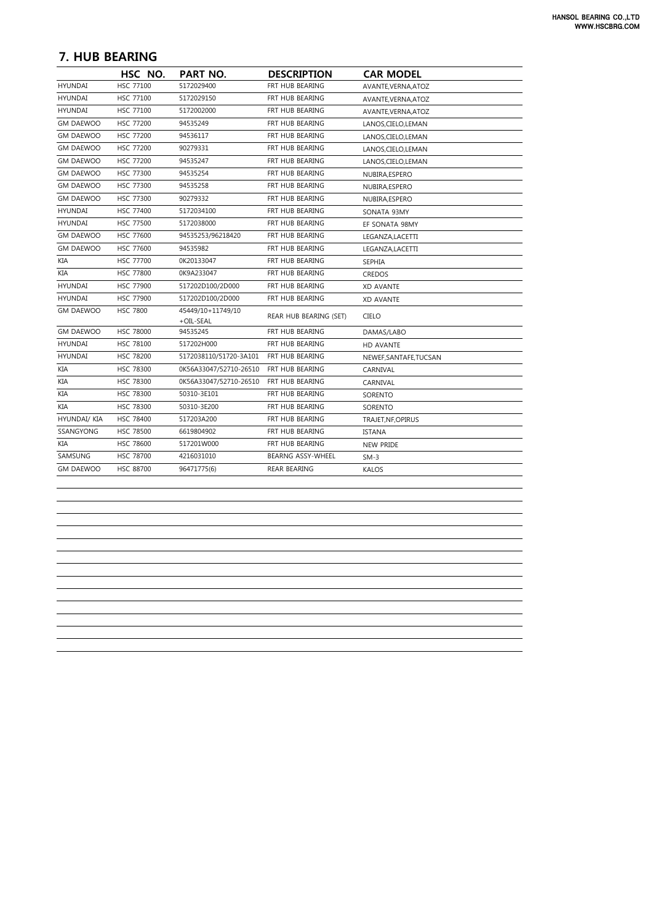#### 7. HUB BEARING

|                  | HSC NO.          | PART NO.                       | <b>DESCRIPTION</b>     | <b>CAR MODEL</b>     |
|------------------|------------------|--------------------------------|------------------------|----------------------|
| <b>HYUNDAI</b>   | HSC 77100        | 5172029400                     | FRT HUB BEARING        | AVANTE, VERNA, ATOZ  |
| HYUNDAI          | HSC 77100        | 5172029150                     | FRT HUB BEARING        | AVANTE, VERNA, ATOZ  |
| HYUNDAI          | HSC 77100        | 5172002000                     | FRT HUB BEARING        | AVANTE, VERNA, ATOZ  |
| <b>GM DAEWOO</b> | <b>HSC 77200</b> | 94535249                       | FRT HUB BEARING        | LANOS,CIELO,LEMAN    |
| <b>GM DAEWOO</b> | HSC 77200        | 94536117                       | FRT HUB BEARING        | LANOS, CIELO, LEMAN  |
| <b>GM DAEWOO</b> | <b>HSC 77200</b> | 90279331                       | FRT HUB BEARING        | LANOS,CIELO,LEMAN    |
| <b>GM DAEWOO</b> | HSC 77200        | 94535247                       | FRT HUB BEARING        | LANOS,CIELO,LEMAN    |
| <b>GM DAEWOO</b> | <b>HSC 77300</b> | 94535254                       | FRT HUB BEARING        | NUBIRA,ESPERO        |
| <b>GM DAEWOO</b> | <b>HSC 77300</b> | 94535258                       | FRT HUB BEARING        | NUBIRA, ESPERO       |
| <b>GM DAEWOO</b> | HSC 77300        | 90279332                       | FRT HUB BEARING        | NUBIRA,ESPERO        |
| HYUNDAI          | HSC 77400        | 5172034100                     | FRT HUB BEARING        | SONATA 93MY          |
| <b>HYUNDAI</b>   | <b>HSC 77500</b> | 5172038000                     | FRT HUB BEARING        | EF SONATA 98MY       |
| <b>GM DAEWOO</b> | <b>HSC 77600</b> | 94535253/96218420              | FRT HUB BEARING        | LEGANZA,LACETTI      |
| <b>GM DAEWOO</b> | <b>HSC 77600</b> | 94535982                       | FRT HUB BEARING        | LEGANZA,LACETTI      |
| КIА              | <b>HSC 77700</b> | 0K20133047                     | FRT HUB BEARING        | SEPHIA               |
| КIА              | <b>HSC 77800</b> | 0K9A233047                     | FRT HUB BEARING        | <b>CREDOS</b>        |
| HYUNDAI          | <b>HSC 77900</b> | 517202D100/2D000               | FRT HUB BEARING        | XD AVANTE            |
| HYUNDAI          | <b>HSC 77900</b> | 517202D100/2D000               | FRT HUB BEARING        | <b>XD AVANTE</b>     |
| <b>GM DAEWOO</b> | <b>HSC 7800</b>  | 45449/10+11749/10<br>+OIL-SEAL | REAR HUB BEARING (SET) | <b>CIELO</b>         |
| <b>GM DAEWOO</b> | <b>HSC 78000</b> | 94535245                       | FRT HUB BEARING        | DAMAS/LABO           |
| HYUNDAI          | HSC 78100        | 517202H000                     | FRT HUB BEARING        | HD AVANTE            |
| <b>HYUNDAI</b>   | <b>HSC 78200</b> | 5172038110/51720-3A101         | FRT HUB BEARING        | NEWEF,SANTAFE,TUCSAN |
| КIА              | HSC 78300        | 0K56A33047/52710-26510         | FRT HUB BEARING        | CARNIVAL             |
| КIА              | <b>HSC 78300</b> | 0K56A33047/52710-26510         | FRT HUB BEARING        | CARNIVAL             |
| КIА              | HSC 78300        | 50310-3E101                    | FRT HUB BEARING        | SORENTO              |
| КIА              | <b>HSC 78300</b> | 50310-3E200                    | FRT HUB BEARING        | SORENTO              |
| HYUNDAI/ KIA     | <b>HSC 78400</b> | 517203A200                     | FRT HUB BEARING        | TRAJET, NF, OPIRUS   |
| SSANGYONG        | HSC 78500        | 6619804902                     | FRT HUB BEARING        | <b>ISTANA</b>        |
| КIА              | <b>HSC 78600</b> | 517201W000                     | FRT HUB BEARING        | New Pride            |
| SAMSUNG          | <b>HSC 78700</b> | 4216031010                     | BEARNG ASSY-WHEEL      | $SM-3$               |
| <b>GM DAEWOO</b> | HSC 88700        | 96471775(6)                    | REAR BEARING           | KALOS                |
|                  |                  |                                |                        |                      |
|                  |                  |                                |                        |                      |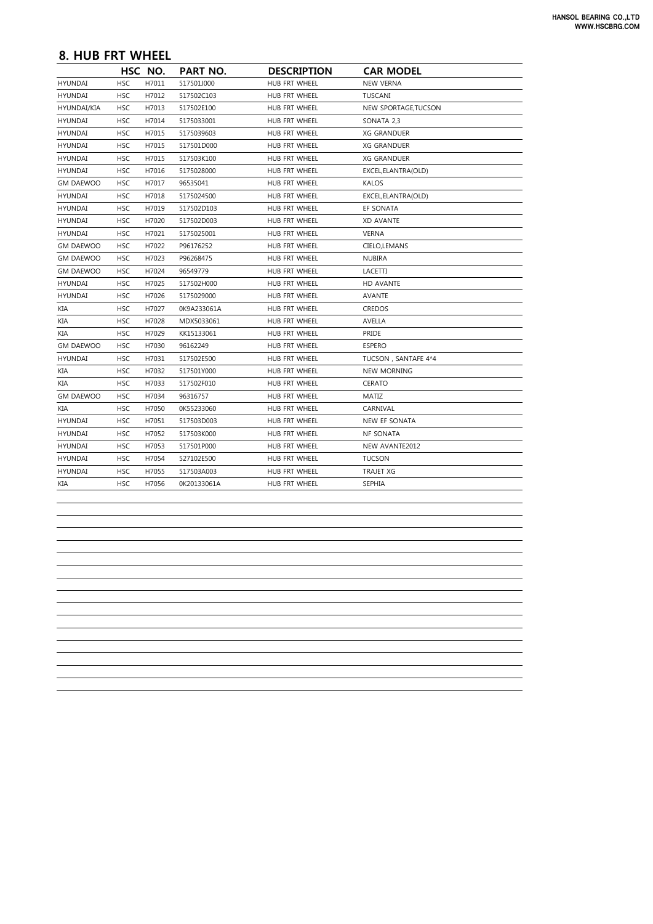#### 8. HUB FRT WHEEL

|                    |            | HSC NO. | <b>PART NO.</b> | <b>DESCRIPTION</b> | <b>CAR MODEL</b>     |  |
|--------------------|------------|---------|-----------------|--------------------|----------------------|--|
| HYUNDAI            | HSC        | H7011   | 517501J000      | HUB FRT WHEEL      | <b>NEW VERNA</b>     |  |
| HYUNDAI            | HSC        | H7012   | 517502C103      | HUB FRT WHEEL      | <b>TUSCANI</b>       |  |
| <b>HYUNDAI/KIA</b> | HSC        | H7013   | 517502E100      | HUB FRT WHEEL      | NEW SPORTAGE, TUCSON |  |
| HYUNDAI            | HSC        | H7014   | 5175033001      | HUB FRT WHEEL      | SONATA 2,3           |  |
| <b>HYUNDAI</b>     | HSC        | H7015   | 5175039603      | HUB FRT WHEEL      | <b>XG GRANDUER</b>   |  |
| HYUNDAI            | HSC        | H7015   | 517501D000      | HUB FRT WHEEL      | <b>XG GRANDUER</b>   |  |
| <b>HYUNDAI</b>     | HSC        | H7015   | 517503K100      | HUB FRT WHEEL      | <b>XG GRANDUER</b>   |  |
| HYUNDAI            | HSC        | H7016   | 5175028000      | HUB FRT WHEEL      | EXCEL, ELANTRA (OLD) |  |
| <b>GM DAEWOO</b>   | HSC        | H7017   | 96535041        | HUB FRT WHEEL      | <b>KALOS</b>         |  |
| HYUNDAI            | HSC        | H7018   | 5175024500      | HUB FRT WHEEL      | EXCEL, ELANTRA(OLD)  |  |
| <b>HYUNDAI</b>     | HSC        | H7019   | 517502D103      | HUB FRT WHEEL      | EF SONATA            |  |
| <b>HYUNDAI</b>     | HSC        | H7020   | 517502D003      | HUB FRT WHEEL      | XD AVANTE            |  |
| HYUNDAI            | HSC        | H7021   | 5175025001      | HUB FRT WHEEL      | VERNA                |  |
| <b>GM DAEWOO</b>   | HSC        | H7022   | P96176252       | HUB FRT WHEEL      | CIELO, LEMANS        |  |
| <b>GM DAEWOO</b>   | HSC        | H7023   | P96268475       | HUB FRT WHEEL      | <b>NUBIRA</b>        |  |
| <b>GM DAEWOO</b>   | HSC        | H7024   | 96549779        | HUB FRT WHEEL      | LACETTI              |  |
| HYUNDAI            | HSC        | H7025   | 517502H000      | HUB FRT WHEEL      | <b>HD AVANTE</b>     |  |
| <b>HYUNDAI</b>     | HSC        | H7026   | 5175029000      | HUB FRT WHEEL      | AVANTE               |  |
| КIА                | HSC        | H7027   | 0K9A233061A     | HUB FRT WHEEL      | <b>CREDOS</b>        |  |
| КIА                | HSC        | H7028   | MDX5033061      | HUB FRT WHEEL      | AVELLA               |  |
| КIА                | HSC        | H7029   | KK15133061      | HUB FRT WHEEL      | PRIDE                |  |
| <b>GM DAEWOO</b>   | HSC        | H7030   | 96162249        | HUB FRT WHEEL      | <b>ESPERO</b>        |  |
| HYUNDAI            | HSC        | H7031   | 517502E500      | HUB FRT WHEEL      | TUCSON, SANTAFE 4*4  |  |
| КIА                | HSC        | H7032   | 517501Y000      | HUB FRT WHEEL      | NEW MORNING          |  |
| КIА                | HSC        | H7033   | 517502F010      | HUB FRT WHEEL      | CERATO               |  |
| <b>GM DAEWOO</b>   | HSC        | H7034   | 96316757        | HUB FRT WHEEL      | MATIZ                |  |
| КIА                | <b>HSC</b> | H7050   | 0K55233060      | HUB FRT WHEEL      | CARNIVAL             |  |
| HYUNDAI            | HSC        | H7051   | 517503D003      | HUB FRT WHEEL      | NEW EF SONATA        |  |
| HYUNDAI            | HSC        | H7052   | 517503K000      | HUB FRT WHEEL      | NF SONATA            |  |
| HYUNDAI            | HSC        | H7053   | 517501P000      | HUB FRT WHEEL      | NEW AVANTE2012       |  |
| HYUNDAI            | <b>HSC</b> | H7054   | 527102E500      | HUB FRT WHEEL      | <b>TUCSON</b>        |  |
| <b>HYUNDAI</b>     | HSC        | H7055   | 517503A003      | HUB FRT WHEEL      | <b>TRAJET XG</b>     |  |
| КIА                | HSC        | H7056   | 0K20133061A     | HUB FRT WHEEL      | SEPHIA               |  |
|                    |            |         |                 |                    |                      |  |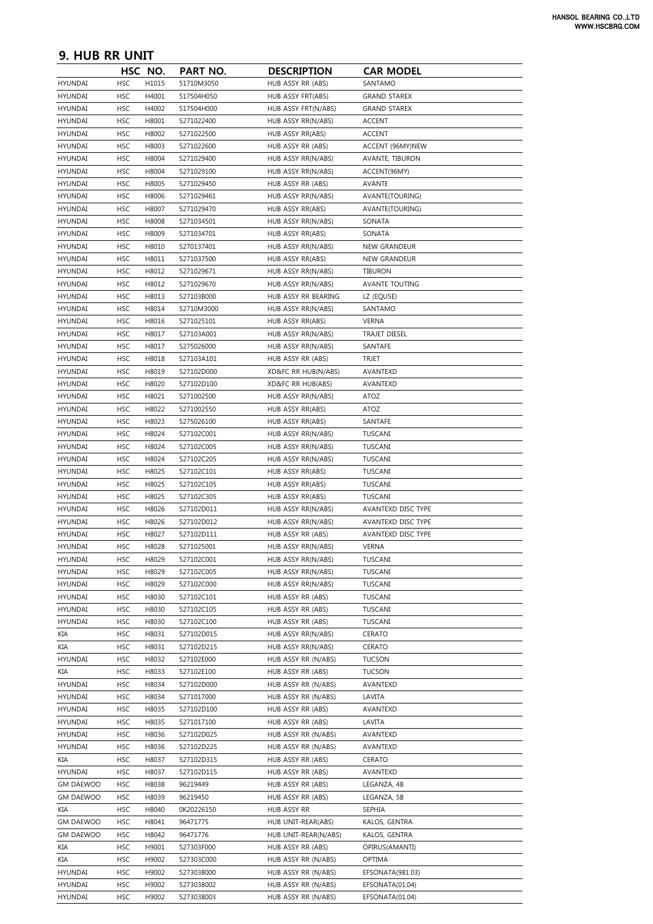### 9. HUB RR UNIT

|                  |            | HSC NO. | PART NO.   | <b>DESCRIPTION</b>   | <b>CAR MODEL</b>     |
|------------------|------------|---------|------------|----------------------|----------------------|
| HYUNDAI          | HSC        | H1015   | 51710M3050 | HUB ASSY RR (ABS)    | SANTAMO              |
| HYUNDAI          | <b>HSC</b> | H4001   | 517504H050 | HUB ASSY FRT(ABS)    | <b>GRAND STAREX</b>  |
| HYUNDAI          | <b>HSC</b> | H4002   | 517504H000 | HUB ASSY FRT(N/ABS)  | <b>GRAND STAREX</b>  |
| <b>HYUNDAI</b>   | HSC        | H8001   | 5271022400 | HUB ASSY RR(N/ABS)   | <b>ACCENT</b>        |
| HYUNDAI          | <b>HSC</b> | H8002   | 5271022500 | HUB ASSY RR(ABS)     | <b>ACCENT</b>        |
| HYUNDAI          | HSC        | H8003   | 5271022600 | HUB ASSY RR (ABS)    | ACCENT (96MY)NEW     |
|                  |            |         |            |                      |                      |
| HYUNDAI          | HSC        | H8004   | 5271029400 | HUB ASSY RR(N/ABS)   | AVANTE, TIBURON      |
| HYUNDAI          | <b>HSC</b> | H8004   | 5271029100 | HUB ASSY RR(N/ABS)   | ACCENT(96MY)         |
| <b>HYUNDAI</b>   | HSC        | H8005   | 5271029450 | HUB ASSY RR (ABS)    | AVANTE               |
| HYUNDAI          | <b>HSC</b> | H8006   | 5271029461 | HUB ASSY RR(N/ABS)   | AVANTE(TOURING)      |
| HYUNDAI          | <b>HSC</b> | H8007   | 5271029470 | HUB ASSY RR(ABS)     | AVANTE(TOURING)      |
| HYUNDAI          | HSC        | H8008   | 5271034501 | HUB ASSY RR(N/ABS)   | SONATA               |
| HYUNDAI          | HSC        | H8009   | 5271034701 | HUB ASSY RR(ABS)     | SONATA               |
| HYUNDAI          | HSC        | H8010   | 5270137401 | HUB ASSY RR(N/ABS)   | NEW GRANDEUR         |
| HYUNDAI          | <b>HSC</b> | H8011   | 5271037500 | HUB ASSY RR(ABS)     | NEW GRANDEUR         |
| HYUNDAI          | <b>HSC</b> | H8012   | 5271029671 | HUB ASSY RR(N/ABS)   | <b>TIBURON</b>       |
| HYUNDAI          | HSC        | H8012   | 5271029670 | HUB ASSY RR(N/ABS)   | AVANTE TOUTING       |
| HYUNDAI          | <b>HSC</b> | H8013   | 527103B000 | HUB ASSY RR BEARING  | LZ (EQUSE)           |
| <b>HYUNDAI</b>   | HSC        | H8014   | 52710M3000 | HUB ASSY RR(N/ABS)   | SANTAMO              |
|                  |            |         |            |                      |                      |
| HYUNDAI          | <b>HSC</b> | H8016   | 5271025101 | HUB ASSY RR(ABS)     | <b>VERNA</b>         |
| HYUNDAI          | <b>HSC</b> | H8017   | 527103A001 | HUB ASSY RR(N/ABS)   | <b>TRAJET DIESEL</b> |
| HYUNDAI          | HSC        | H8017   | 5275026000 | HUB ASSY RR(N/ABS)   | SANTAFE              |
| HYUNDAI          | <b>HSC</b> | H8018   | 527103A101 | HUB ASSY RR (ABS)    | TRJET                |
| HYUNDAI          | HSC        | H8019   | 527102D000 | XD&FC RR HUB(N/ABS)  | AVANTEXD             |
| HYUNDAI          | <b>HSC</b> | H8020   | 527102D100 | XD&FC RR HUB(ABS)    | AVANTEXD             |
| HYUNDAI          | HSC        | H8021   | 5271002500 | HUB ASSY RR(N/ABS)   | ATOZ                 |
| HYUNDAI          | HSC        | H8022   | 5271002550 | HUB ASSY RR(ABS)     | ATOZ                 |
| HYUNDAI          | HSC        | H8023   | 5275026100 | HUB ASSY RR(ABS)     | SANTAFE              |
| <b>HYUNDAI</b>   | HSC        | H8024   | 527102C001 | HUB ASSY RR(N/ABS)   | <b>TUSCANI</b>       |
| HYUNDAI          | <b>HSC</b> | H8024   | 527102C005 | HUB ASSY RR(N/ABS)   | TUSCANI              |
| HYUNDAI          | <b>HSC</b> | H8024   | 527102C205 | HUB ASSY RR(N/ABS)   | TUSCANI              |
| HYUNDAI          | HSC        | H8025   | 527102C101 | HUB ASSY RR(ABS)     | TUSCANI              |
|                  |            |         |            |                      |                      |
| HYUNDAI          | <b>HSC</b> | H8025   | 527102C105 | HUB ASSY RR(ABS)     | TUSCANI              |
| HYUNDAI          | HSC        | H8025   | 527102C305 | HUB ASSY RR(ABS)     | <b>TUSCANI</b>       |
| HYUNDAI          | <b>HSC</b> | H8026   | 527102D011 | HUB ASSY RR(N/ABS)   | AVANTEXD DISC TYPE   |
| HYUNDAI          | <b>HSC</b> | H8026   | 527102D012 | HUB ASSY RR(N/ABS)   | AVANTEXD DISC TYPE   |
| HYUNDAI          | <b>HSC</b> | H8027   | 527102D111 | HUB ASSY RR (ABS)    | AVANTEXD DISC TYPE   |
| HYUNDAI          | <b>HSC</b> | H8028   | 5271025001 | HUB ASSY RR(N/ABS)   | VERNA                |
| HYUNDAI          | HSC        | H8029   | 527102C001 | HUB ASSY RR(N/ABS)   | TUSCANI              |
| HYUNDAI          | HSC        | H8029   | 527102C005 | HUB ASSY RR(N/ABS)   | TUSCANI              |
| HYUNDAI          | <b>HSC</b> | H8029   | 527102C000 | HUB ASSY RR(N/ABS)   | TUSCANI              |
| HYUNDAI          | HSC        | H8030   | 527102C101 | HUB ASSY RR (ABS)    | TUSCANI              |
| HYUNDAI          | <b>HSC</b> | H8030   | 527102C105 | HUB ASSY RR (ABS)    | TUSCANI              |
| HYUNDAI          | HSC        | H8030   | 527102C100 | HUB ASSY RR (ABS)    | TUSCANI              |
| KIA              | HSC        | H8031   | 527102D015 | HUB ASSY RR(N/ABS)   | CERATO               |
| КIА              | <b>HSC</b> | H8031   | 527102D215 | HUB ASSY RR(N/ABS)   | CERATO               |
| HYUNDAI          | <b>HSC</b> | H8032   | 527102E000 | HUB ASSY RR (N/ABS)  |                      |
|                  |            |         |            |                      | <b>TUCSON</b>        |
| КIА              | <b>HSC</b> | H8033   | 527102E100 | HUB ASSY RR (ABS)    | <b>TUCSON</b>        |
| HYUNDAI          | HSC        | H8034   | 527102D000 | HUB ASSY RR (N/ABS)  | AVANTEXD             |
| HYUNDAI          | HSC        | H8034   | 5271017000 | HUB ASSY RR (N/ABS)  | LAVITA               |
| HYUNDAI          | <b>HSC</b> | H8035   | 527102D100 | HUB ASSY RR (ABS)    | AVANTEXD             |
| HYUNDAI          | HSC        | H8035   | 5271017100 | HUB ASSY RR (ABS)    | LAVITA               |
| HYUNDAI          | <b>HSC</b> | H8036   | 527102D025 | HUB ASSY RR (N/ABS)  | AVANTEXD             |
| HYUNDAI          | HSC        | H8036   | 527102D225 | HUB ASSY RR (N/ABS)  | AVANTEXD             |
| КIА              | HSC        | H8037   | 527102D315 | HUB ASSY RR (ABS)    | CERATO               |
| HYUNDAI          | <b>HSC</b> | H8037   | 527102D115 | HUB ASSY RR (ABS)    | AVANTEXD             |
| <b>GM DAEWOO</b> | HSC        | H8038   | 96219449   | HUB ASSY RR (ABS)    | LEGANZA, 4B          |
| <b>GM DAEWOO</b> | <b>HSC</b> | H8039   | 96219450   | HUB ASSY RR (ABS)    | LEGANZA, 5B          |
| КIА              | HSC        | H8040   | 0K20226150 | HUB ASSY RR          | SEPHIA               |
|                  |            |         |            |                      |                      |
| <b>GM DAEWOO</b> | HSC        | H8041   | 96471775   | HUB UNIT-REAR(ABS)   | KALOS, GENTRA        |
| <b>GM DAEWOO</b> | <b>HSC</b> | H8042   | 96471776   | HUB UNIT-REAR(N/ABS) | KALOS, GENTRA        |
| КIА              | HSC        | H9001   | 527303F000 | HUB ASSY RR (ABS)    | OPIRUS(AMANTI)       |
| КIА              | <b>HSC</b> | H9002   | 527303C000 | HUB ASSY RR (N/ABS)  | OPTIMA               |
| HYUNDAI          | HSC        | H9002   | 5273038000 | HUB ASSY RR (N/ABS)  | EFSONATA(981.03)     |
| HYUNDAI          | HSC        | H9002   | 5273038002 | HUB ASSY RR (N/ABS)  | EFSONATA(01.04)      |
| HYUNDAI          | <b>HSC</b> | H9002   | 5273038003 | HUB ASSY RR (N/ABS)  | EFSONATA(01.04)      |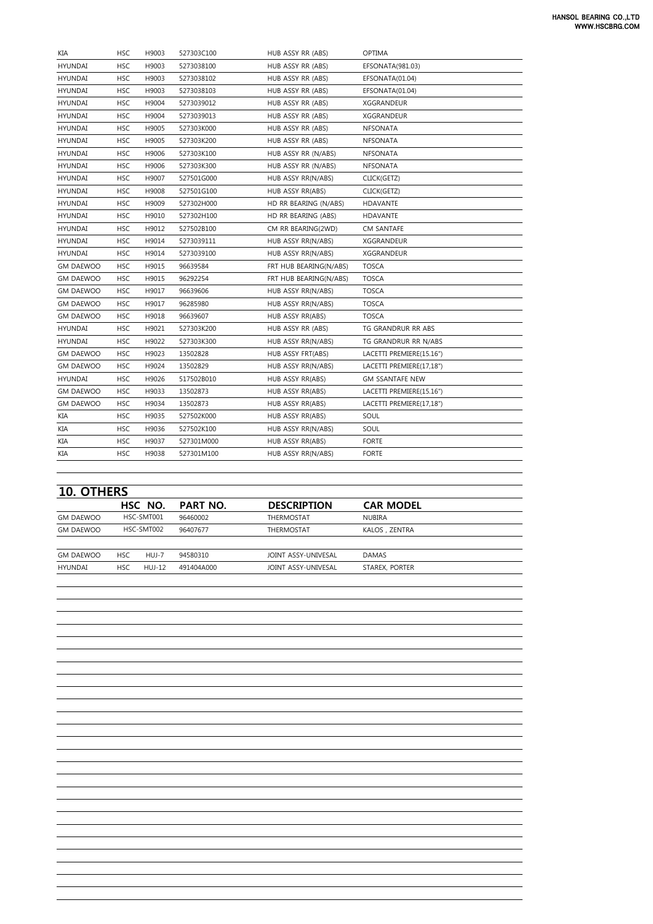| КIА              | <b>HSC</b> | H9003 | 527303C100 | HUB ASSY RR (ABS)      | OPTIMA                   |
|------------------|------------|-------|------------|------------------------|--------------------------|
| HYUNDAI          | HSC        | H9003 | 5273038100 | HUB ASSY RR (ABS)      | EFSONATA(981.03)         |
| HYUNDAI          | HSC        | H9003 | 5273038102 | HUB ASSY RR (ABS)      | EFSONATA(01.04)          |
| HYUNDAI          | HSC        | H9003 | 5273038103 | HUB ASSY RR (ABS)      | EFSONATA(01.04)          |
| HYUNDAI          | <b>HSC</b> | H9004 | 5273039012 | HUB ASSY RR (ABS)      | XGGRANDEUR               |
| HYUNDAI          | HSC        | H9004 | 5273039013 | HUB ASSY RR (ABS)      | XGGRANDEUR               |
| HYUNDAI          | <b>HSC</b> | H9005 | 527303K000 | HUB ASSY RR (ABS)      | NFSONATA                 |
| HYUNDAI          | <b>HSC</b> | H9005 | 527303K200 | HUB ASSY RR (ABS)      | NFSONATA                 |
| HYUNDAI          | <b>HSC</b> | H9006 | 527303K100 | HUB ASSY RR (N/ABS)    | NFSONATA                 |
| HYUNDAI          | <b>HSC</b> | H9006 | 527303K300 | HUB ASSY RR (N/ABS)    | NFSONATA                 |
| HYUNDAI          | <b>HSC</b> | H9007 | 527501G000 | HUB ASSY RR(N/ABS)     | CLICK(GETZ)              |
| HYUNDAI          | <b>HSC</b> | H9008 | 527501G100 | HUB ASSY RR(ABS)       | CLICK(GETZ)              |
| HYUNDAI          | <b>HSC</b> | H9009 | 527302H000 | HD RR BEARING (N/ABS)  | HDAVANTE                 |
| HYUNDAI          | <b>HSC</b> | H9010 | 527302H100 | HD RR BEARING (ABS)    | HDAVANTE                 |
| HYUNDAI          | <b>HSC</b> | H9012 | 527502B100 | CM RR BEARING(2WD)     | CM SANTAFE               |
| HYUNDAI          | <b>HSC</b> | H9014 | 5273039111 | HUB ASSY RR(N/ABS)     | XGGRANDEUR               |
| HYUNDAI          | HSC        | H9014 | 5273039100 | HUB ASSY RR(N/ABS)     | XGGRANDEUR               |
| <b>GM DAEWOO</b> | <b>HSC</b> | H9015 | 96639584   | FRT HUB BEARING(N/ABS) | <b>TOSCA</b>             |
| <b>GM DAEWOO</b> | HSC        | H9015 | 96292254   | FRT HUB BEARING(N/ABS) | <b>TOSCA</b>             |
| <b>GM DAEWOO</b> | <b>HSC</b> | H9017 | 96639606   | HUB ASSY RR(N/ABS)     | <b>TOSCA</b>             |
| <b>GM DAEWOO</b> | HSC        | H9017 | 96285980   | HUB ASSY RR(N/ABS)     | TOSCA                    |
| <b>GM DAEWOO</b> | HSC        | H9018 | 96639607   | HUB ASSY RR(ABS)       | <b>TOSCA</b>             |
| HYUNDAI          | HSC        | H9021 | 527303K200 | HUB ASSY RR (ABS)      | TG GRANDRUR RR ABS       |
| HYUNDAI          | HSC        | H9022 | 527303K300 | HUB ASSY RR(N/ABS)     | TG GRANDRUR RR N/ABS     |
| <b>GM DAEWOO</b> | HSC        | H9023 | 13502828   | HUB ASSY FRT(ABS)      | LACETTI PREMIERE(15.16") |
| <b>GM DAEWOO</b> | <b>HSC</b> | H9024 | 13502829   | HUB ASSY RR(N/ABS)     | LACETTI PREMIERE(17,18") |
| HYUNDAI          | HSC        | H9026 | 517502B010 | HUB ASSY RR(ABS)       | GM SSANTAFE NEW          |
| <b>GM DAEWOO</b> | <b>HSC</b> | H9033 | 13502873   | HUB ASSY RR(ABS)       | LACETTI PREMIERE(15.16") |
| <b>GM DAEWOO</b> | HSC        | H9034 | 13502873   | HUB ASSY RR(ABS)       | LACETTI PREMIERE(17,18") |
| КIА              | HSC        | H9035 | 527502K000 | HUB ASSY RR(ABS)       | SOUL                     |
| КIА              | HSC        | H9036 | 527502K100 | HUB ASSY RR(N/ABS)     | SOUL                     |
| КIА              | HSC        | H9037 | 527301M000 | HUB ASSY RR(ABS)       | <b>FORTE</b>             |
| КIА              | <b>HSC</b> | H9038 | 527301M100 | HUB ASSY RR(N/ABS)     | <b>FORTE</b>             |
|                  |            |       |            |                        |                          |

| <b>10. OTHERS</b> |                        |                 |                     |                  |  |  |
|-------------------|------------------------|-----------------|---------------------|------------------|--|--|
|                   | HSC NO.                | <b>PART NO.</b> | <b>DESCRIPTION</b>  | <b>CAR MODEL</b> |  |  |
| <b>GM DAEWOO</b>  | HSC-SMT001             | 96460002        | THERMOSTAT          | <b>NUBIRA</b>    |  |  |
| <b>GM DAEWOO</b>  | HSC-SMT002             | 96407677        | THERMOSTAT          | KALOS, ZENTRA    |  |  |
| <b>GM DAEWOO</b>  | <b>HSC</b><br>$H$ UJ-7 | 94580310        | JOINT ASSY-UNIVESAL | <b>DAMAS</b>     |  |  |
| <b>HYUNDAI</b>    | HSC.<br><b>HUJ-12</b>  | 491404A000      | JOINT ASSY-UNIVESAL | STAREX, PORTER   |  |  |
|                   |                        |                 |                     |                  |  |  |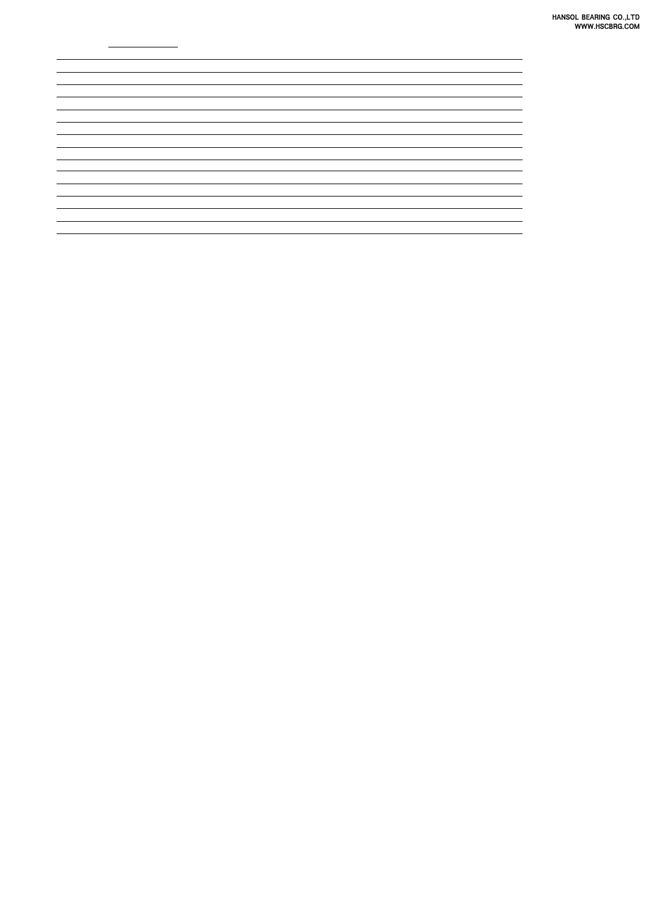